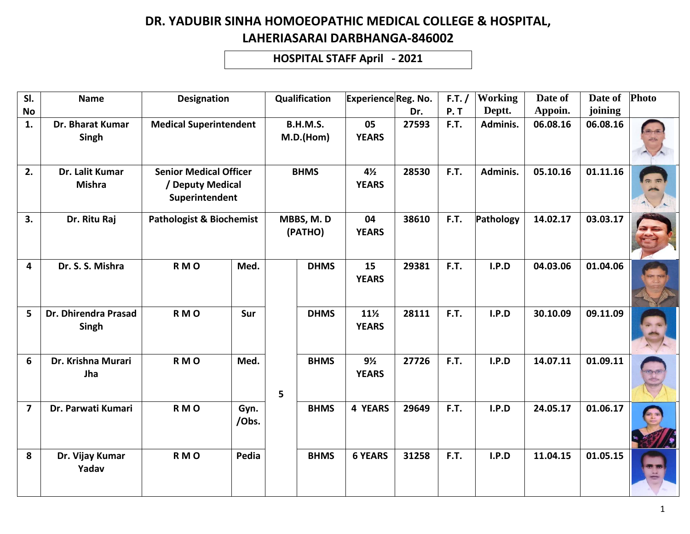**HOSPITAL STAFF April - 2021**

| SI.                     | <b>Name</b>                      | <b>Designation</b>                                                  |               |             | Qualification                | ExperienceReg. No.              |       | F.T. / | <b>Working</b> | Date of  | Date of  | Photo |
|-------------------------|----------------------------------|---------------------------------------------------------------------|---------------|-------------|------------------------------|---------------------------------|-------|--------|----------------|----------|----------|-------|
| <b>No</b>               |                                  |                                                                     |               |             |                              |                                 | Dr.   | P. T   | Deptt.         | Appoin.  | joining  |       |
| 1.                      | Dr. Bharat Kumar<br>Singh        | <b>Medical Superintendent</b>                                       |               |             | <b>B.H.M.S.</b><br>M.D.(Hom) | 05<br><b>YEARS</b>              | 27593 | F.T.   | Adminis.       | 06.08.16 | 06.08.16 |       |
| 2.                      | Dr. Lalit Kumar<br><b>Mishra</b> | <b>Senior Medical Officer</b><br>/ Deputy Medical<br>Superintendent |               | <b>BHMS</b> |                              | $4\frac{1}{2}$<br><b>YEARS</b>  | 28530 | F.T.   | Adminis.       | 05.10.16 | 01.11.16 |       |
| 3.                      | Dr. Ritu Raj                     | <b>Pathologist &amp; Biochemist</b>                                 |               |             | MBBS, M.D<br>(PATHO)         | 04<br><b>YEARS</b>              | 38610 | F.T.   | Pathology      | 14.02.17 | 03.03.17 |       |
| 4                       | Dr. S. S. Mishra                 | RMO                                                                 | Med.          |             | <b>DHMS</b>                  | 15<br><b>YEARS</b>              | 29381 | F.T.   | I.P.D          | 04.03.06 | 01.04.06 |       |
| 5                       | Dr. Dhirendra Prasad<br>Singh    | RMO                                                                 | <b>Sur</b>    |             | <b>DHMS</b>                  | $11\frac{1}{2}$<br><b>YEARS</b> | 28111 | F.T.   | I.P.D          | 30.10.09 | 09.11.09 |       |
| 6                       | Dr. Krishna Murari<br>Jha        | RMO                                                                 | Med.          | 5           | <b>BHMS</b>                  | $9\frac{1}{2}$<br><b>YEARS</b>  | 27726 | F.T.   | I.P.D          | 14.07.11 | 01.09.11 |       |
| $\overline{\mathbf{z}}$ | Dr. Parwati Kumari               | RMO                                                                 | Gyn.<br>/Obs. |             | <b>BHMS</b>                  | <b>4 YEARS</b>                  | 29649 | F.T.   | I.P.D          | 24.05.17 | 01.06.17 |       |
| 8                       | Dr. Vijay Kumar<br>Yadav         | RMO                                                                 | Pedia         |             | <b>BHMS</b>                  | <b>6 YEARS</b>                  | 31258 | F.T.   | I.P.D          | 11.04.15 | 01.05.15 |       |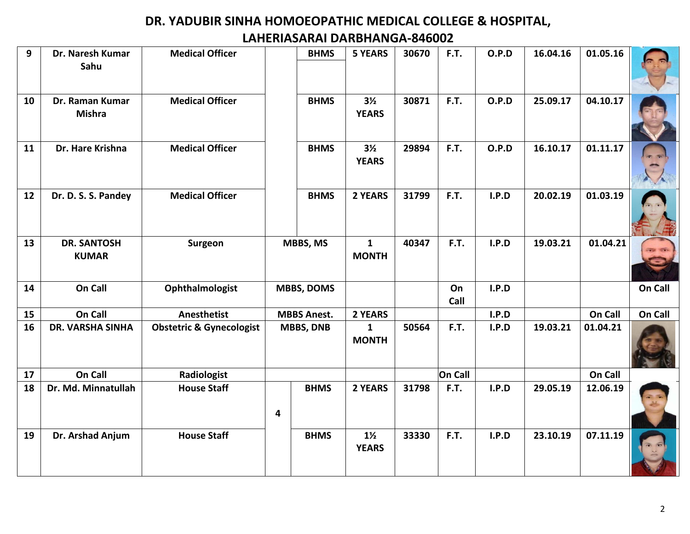| 9  | Dr. Naresh Kumar<br>Sahu           | <b>Medical Officer</b>              |                    | <b>BHMS</b> | <b>5 YEARS</b>                 | 30670 | F.T.       | O.P.D | 16.04.16 | 01.05.16 |         |
|----|------------------------------------|-------------------------------------|--------------------|-------------|--------------------------------|-------|------------|-------|----------|----------|---------|
| 10 | Dr. Raman Kumar<br><b>Mishra</b>   | <b>Medical Officer</b>              |                    | <b>BHMS</b> | $3\frac{1}{2}$<br><b>YEARS</b> | 30871 | F.T.       | O.P.D | 25.09.17 | 04.10.17 |         |
| 11 | Dr. Hare Krishna                   | <b>Medical Officer</b>              |                    | <b>BHMS</b> | $3\frac{1}{2}$<br><b>YEARS</b> | 29894 | F.T.       | O.P.D | 16.10.17 | 01.11.17 |         |
| 12 | Dr. D. S. S. Pandey                | <b>Medical Officer</b>              |                    | <b>BHMS</b> | 2 YEARS                        | 31799 | F.T.       | I.P.D | 20.02.19 | 01.03.19 |         |
| 13 | <b>DR. SANTOSH</b><br><b>KUMAR</b> | Surgeon                             | MBBS, MS           |             | $\mathbf{1}$<br><b>MONTH</b>   | 40347 | F.T.       | I.P.D | 19.03.21 | 01.04.21 |         |
| 14 | On Call                            | Ophthalmologist                     | <b>MBBS, DOMS</b>  |             |                                |       | On<br>Call | I.P.D |          |          | On Call |
| 15 | On Call                            | <b>Anesthetist</b>                  | <b>MBBS Anest.</b> |             | 2 YEARS                        |       |            | I.P.D |          | On Call  | On Call |
| 16 | <b>DR. VARSHA SINHA</b>            | <b>Obstetric &amp; Gynecologist</b> | <b>MBBS, DNB</b>   |             | $\mathbf{1}$<br><b>MONTH</b>   | 50564 | F.T.       | I.P.D | 19.03.21 | 01.04.21 |         |
| 17 | On Call                            | Radiologist                         |                    |             |                                |       | On Call    |       |          | On Call  |         |
| 18 | Dr. Md. Minnatullah                | <b>House Staff</b>                  | 4                  | <b>BHMS</b> | 2 YEARS                        | 31798 | F.T.       | I.P.D | 29.05.19 | 12.06.19 |         |
| 19 | Dr. Arshad Anjum                   | <b>House Staff</b>                  |                    | <b>BHMS</b> | $1\frac{1}{2}$<br><b>YEARS</b> | 33330 | F.T.       | I.P.D | 23.10.19 | 07.11.19 |         |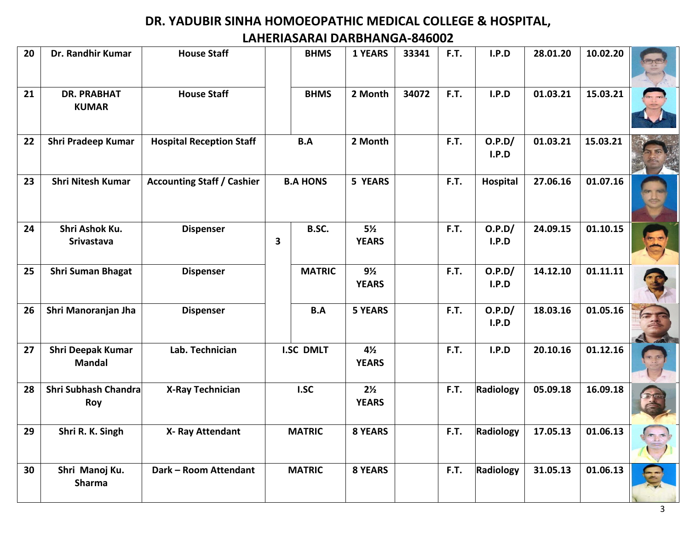| 20 | Dr. Randhir Kumar                         | <b>House Staff</b>                |                  | <b>BHMS</b>   | <b>1 YEARS</b>                 | 33341 | F.T. | I.P.D           | 28.01.20 | 10.02.20 |  |
|----|-------------------------------------------|-----------------------------------|------------------|---------------|--------------------------------|-------|------|-----------------|----------|----------|--|
| 21 | <b>DR. PRABHAT</b><br><b>KUMAR</b>        | <b>House Staff</b>                |                  | <b>BHMS</b>   | 2 Month                        | 34072 | F.T. | I.P.D           | 01.03.21 | 15.03.21 |  |
| 22 | Shri Pradeep Kumar                        | <b>Hospital Reception Staff</b>   |                  | B.A           | 2 Month                        |       | F.T. | O.P.D/<br>I.P.D | 01.03.21 | 15.03.21 |  |
| 23 | <b>Shri Nitesh Kumar</b>                  | <b>Accounting Staff / Cashier</b> | <b>B.A HONS</b>  |               | 5 YEARS                        |       | F.T. | Hospital        | 27.06.16 | 01.07.16 |  |
| 24 | Shri Ashok Ku.<br>Srivastava              | <b>Dispenser</b>                  | 3                | B.SC.         | $5\frac{1}{2}$<br><b>YEARS</b> |       | F.T. | O.P.D/<br>I.P.D | 24.09.15 | 01.10.15 |  |
| 25 | <b>Shri Suman Bhagat</b>                  | <b>Dispenser</b>                  |                  | <b>MATRIC</b> | $9\frac{1}{2}$<br><b>YEARS</b> |       | F.T. | O.P.D/<br>I.P.D | 14.12.10 | 01.11.11 |  |
| 26 | Shri Manoranjan Jha                       | <b>Dispenser</b>                  |                  | B.A           | <b>5 YEARS</b>                 |       | F.T. | O.P.D/<br>I.P.D | 18.03.16 | 01.05.16 |  |
| 27 | <b>Shri Deepak Kumar</b><br><b>Mandal</b> | Lab. Technician                   | <b>I.SC DMLT</b> |               | $4\frac{1}{2}$<br><b>YEARS</b> |       | F.T. | I.P.D           | 20.10.16 | 01.12.16 |  |
| 28 | Shri Subhash Chandra<br>Roy               | <b>X-Ray Technician</b>           | I.SC             |               | $2\frac{1}{2}$<br><b>YEARS</b> |       | F.T. | Radiology       | 05.09.18 | 16.09.18 |  |
| 29 | Shri R. K. Singh                          | X- Ray Attendant                  | <b>MATRIC</b>    |               | <b>8 YEARS</b>                 |       | F.T. | Radiology       | 17.05.13 | 01.06.13 |  |
| 30 | Shri Manoj Ku.<br>Sharma                  | Dark - Room Attendant             |                  | <b>MATRIC</b> | <b>8 YEARS</b>                 |       | F.T. | Radiology       | 31.05.13 | 01.06.13 |  |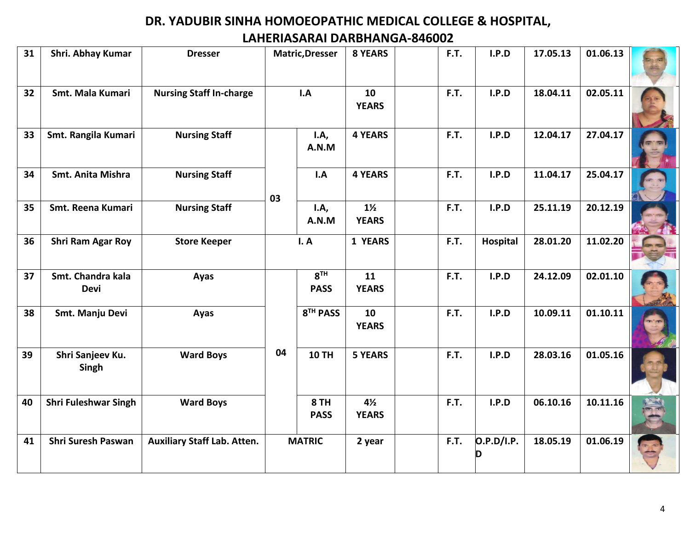| 31 | Shri. Abhay Kumar                | <b>Dresser</b>                     | <b>Matric, Dresser</b> |                                | <b>8 YEARS</b>                 | F.T. | I.P.D      | 17.05.13 | 01.06.13 |  |
|----|----------------------------------|------------------------------------|------------------------|--------------------------------|--------------------------------|------|------------|----------|----------|--|
| 32 | Smt. Mala Kumari                 | <b>Nursing Staff In-charge</b>     | I.A                    |                                | 10<br><b>YEARS</b>             | F.T. | I.P.D      | 18.04.11 | 02.05.11 |  |
| 33 | Smt. Rangila Kumari              | <b>Nursing Staff</b>               |                        | I.A,<br>A.N.M                  | <b>4 YEARS</b>                 | F.T. | I.P.D      | 12.04.17 | 27.04.17 |  |
| 34 | Smt. Anita Mishra                | <b>Nursing Staff</b>               | 03                     | I.A                            | <b>4 YEARS</b>                 | F.T. | I.P.D      | 11.04.17 | 25.04.17 |  |
| 35 | Smt. Reena Kumari                | <b>Nursing Staff</b>               |                        | I.A,<br>A.N.M                  | $1\frac{1}{2}$<br><b>YEARS</b> | F.T. | I.P.D      | 25.11.19 | 20.12.19 |  |
| 36 | Shri Ram Agar Roy                | <b>Store Keeper</b>                | I. A                   |                                | 1 YEARS                        | F.T. | Hospital   | 28.01.20 | 11.02.20 |  |
| 37 | Smt. Chandra kala<br><b>Devi</b> | Ayas                               |                        | 8 <sup>TH</sup><br><b>PASS</b> | 11<br><b>YEARS</b>             | F.T. | I.P.D      | 24.12.09 | 02.01.10 |  |
| 38 | Smt. Manju Devi                  | Ayas                               |                        | 8 <sup>TH</sup> PASS           | 10<br><b>YEARS</b>             | F.T. | I.P.D      | 10.09.11 | 01.10.11 |  |
| 39 | Shri Sanjeev Ku.<br>Singh        | <b>Ward Boys</b>                   | 04                     | <b>10 TH</b>                   | <b>5 YEARS</b>                 | F.T. | I.P.D      | 28.03.16 | 01.05.16 |  |
| 40 | <b>Shri Fuleshwar Singh</b>      | <b>Ward Boys</b>                   |                        | 8 TH<br><b>PASS</b>            | $4\frac{1}{2}$<br><b>YEARS</b> | F.T. | I.P.D      | 06.10.16 | 10.11.16 |  |
| 41 | <b>Shri Suresh Paswan</b>        | <b>Auxiliary Staff Lab. Atten.</b> |                        | <b>MATRIC</b>                  | 2 year                         | F.T. | O.P.D/I.P. | 18.05.19 | 01.06.19 |  |